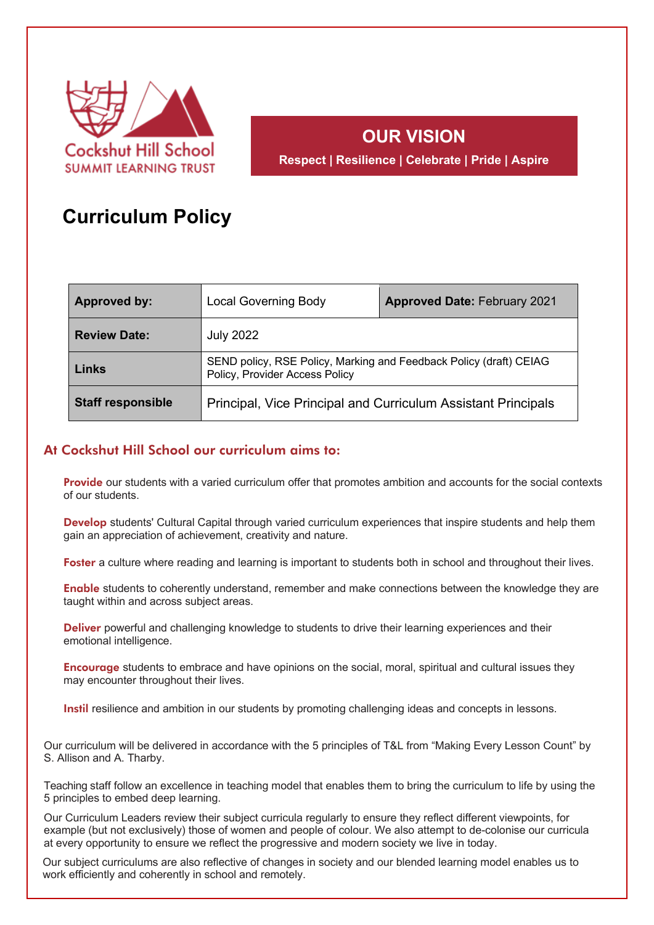

# **OUR VISION**

**Respect | Resilience | Celebrate | Pride | Aspire**

## **Curriculum Policy**

| <b>Approved by:</b>      | <b>Local Governing Body</b>                                                                          | <b>Approved Date: February 2021</b> |  |
|--------------------------|------------------------------------------------------------------------------------------------------|-------------------------------------|--|
| <b>Review Date:</b>      | <b>July 2022</b>                                                                                     |                                     |  |
| Links                    | SEND policy, RSE Policy, Marking and Feedback Policy (draft) CEIAG<br>Policy, Provider Access Policy |                                     |  |
| <b>Staff responsible</b> | Principal, Vice Principal and Curriculum Assistant Principals                                        |                                     |  |

### At Cockshut Hill School our curriculum aims to:

**Provide** our students with a varied curriculum offer that promotes ambition and accounts for the social contexts of our students.

Develop students' Cultural Capital through varied curriculum experiences that inspire students and help them gain an appreciation of achievement, creativity and nature.

Foster a culture where reading and learning is important to students both in school and throughout their lives.

Enable students to coherently understand, remember and make connections between the knowledge they are taught within and across subject areas.

Deliver powerful and challenging knowledge to students to drive their learning experiences and their emotional intelligence.

Encourage students to embrace and have opinions on the social, moral, spiritual and cultural issues they may encounter throughout their lives.

Instil resilience and ambition in our students by promoting challenging ideas and concepts in lessons.

Our curriculum will be delivered in accordance with the 5 principles of T&L from "Making Every Lesson Count" by S. Allison and A. Tharby.

Teaching staff follow an excellence in teaching model that enables them to bring the curriculum to life by using the 5 principles to embed deep learning.

Our Curriculum Leaders review their subject curricula regularly to ensure they reflect different viewpoints, for example (but not exclusively) those of women and people of colour. We also attempt to de-colonise our curricula at every opportunity to ensure we reflect the progressive and modern society we live in today.

Our subject curriculums are also reflective of changes in society and our blended learning model enables us to work efficiently and coherently in school and remotely.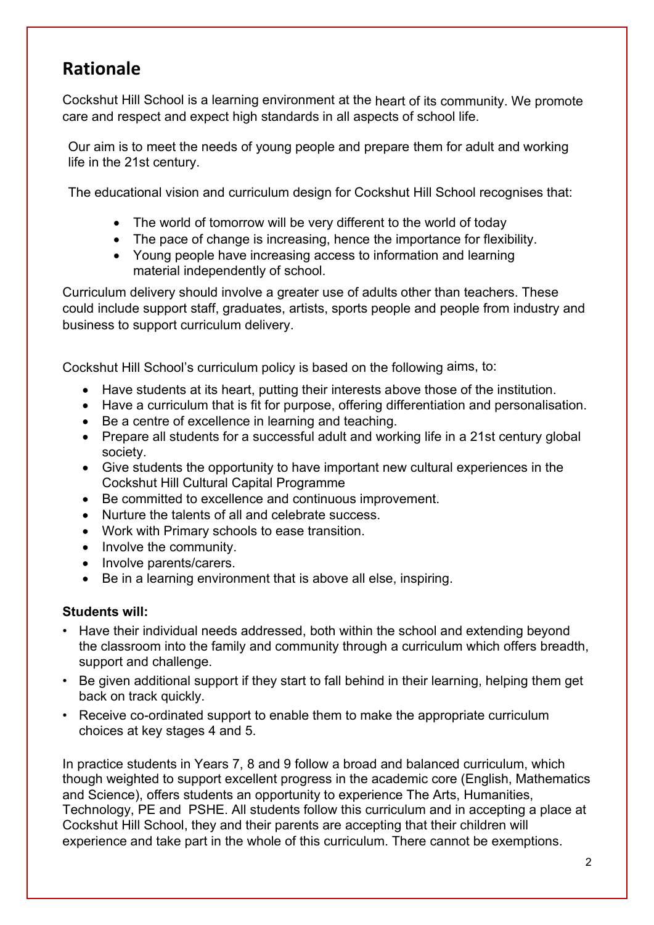## **Rationale**

Cockshut Hill School is a learning environment at the heart of its community. We promote care and respect and expect high standards in all aspects of school life.

Our aim is to meet the needs of young people and prepare them for adult and working life in the 21st century.

The educational vision and curriculum design for Cockshut Hill School recognises that:

- The world of tomorrow will be very different to the world of today
- The pace of change is increasing, hence the importance for flexibility.
- Young people have increasing access to information and learning material independently of school.

Curriculum delivery should involve a greater use of adults other than teachers. These could include support staff, graduates, artists, sports people and people from industry and business to support curriculum delivery.

Cockshut Hill School's curriculum policy is based on the following aims, to:

- Have students at its heart, putting their interests above those of the institution.
- Have a curriculum that is fit for purpose, offering differentiation and personalisation.
- Be a centre of excellence in learning and teaching.
- Prepare all students for a successful adult and working life in a 21st century global society.
- Give students the opportunity to have important new cultural experiences in the Cockshut Hill Cultural Capital Programme
- Be committed to excellence and continuous improvement.
- Nurture the talents of all and celebrate success.
- Work with Primary schools to ease transition.
- Involve the community.
- Involve parents/carers.
- Be in a learning environment that is above all else, inspiring.

### **Students will:**

- Have their individual needs addressed, both within the school and extending beyond the classroom into the family and community through a curriculum which offers breadth, support and challenge.
- Be given additional support if they start to fall behind in their learning, helping them get back on track quickly.
- Receive co-ordinated support to enable them to make the appropriate curriculum choices at key stages 4 and 5.

In practice students in Years 7, 8 and 9 follow a broad and balanced curriculum, which though weighted to support excellent progress in the academic core (English, Mathematics and Science), offers students an opportunity to experience The Arts, Humanities, Technology, PE and PSHE. All students follow this curriculum and in accepting a place at Cockshut Hill School, they and their parents are accepting that their children will experience and take part in the whole of this curriculum. There cannot be exemptions.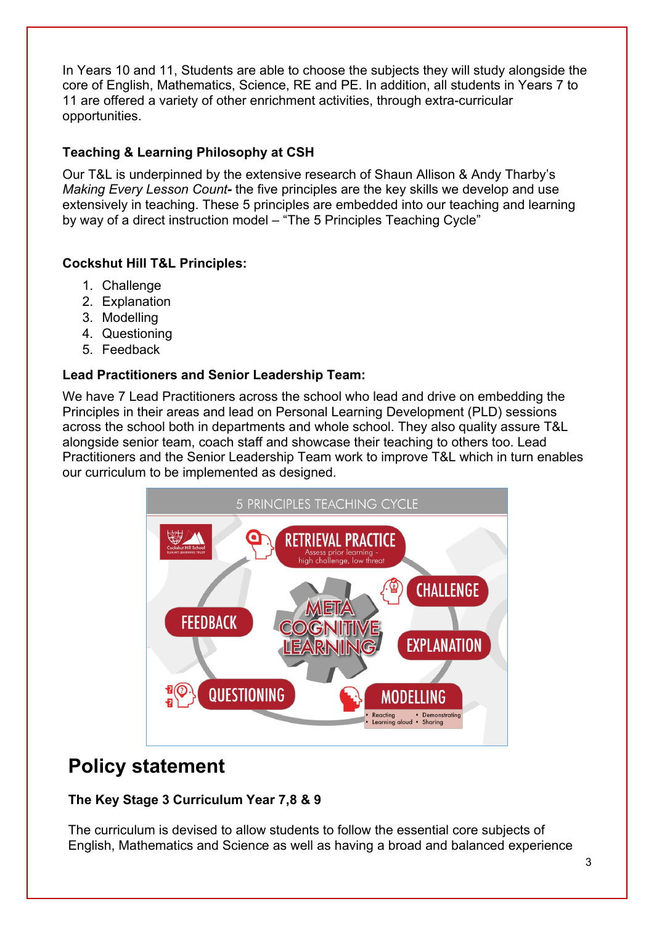In Years 10 and 11, Students are able to choose the subjects they will study alongside the core of English, Mathematics, Science, RE and PE. In addition, all students in Years 7 to 11 are offered a variety of other enrichment activities, through extra-curricular opportunities.

## **Teaching & Learning Philosophy at CSH**

Our T&L is underpinned by the extensive research of Shaun Allison & Andy Tharby's *Making Every Lesson Count-* the five principles are the key skills we develop and use extensively in teaching. These 5 principles are embedded into our teaching and learning by way of a direct instruction model – "The 5 Principles Teaching Cycle"

## **Cockshut Hill T&L Principles:**

- 1. Challenge
- 2. Explanation
- 3. Modelling
- 4. Questioning
- 5. Feedback

### **Lead Practitioners and Senior Leadership Team:**

We have 7 Lead Practitioners across the school who lead and drive on embedding the Principles in their areas and lead on Personal Learning Development (PLD) sessions across the school both in departments and whole school. They also quality assure T&L alongside senior team, coach staff and showcase their teaching to others too. Lead Practitioners and the Senior Leadership Team work to improve T&L which in turn enables our curriculum to be implemented as designed.



## **Policy statement**

## **The Key Stage 3 Curriculum Year 7,8 & 9**

The curriculum is devised to allow students to follow the essential core subjects of English, Mathematics and Science as well as having a broad and balanced experience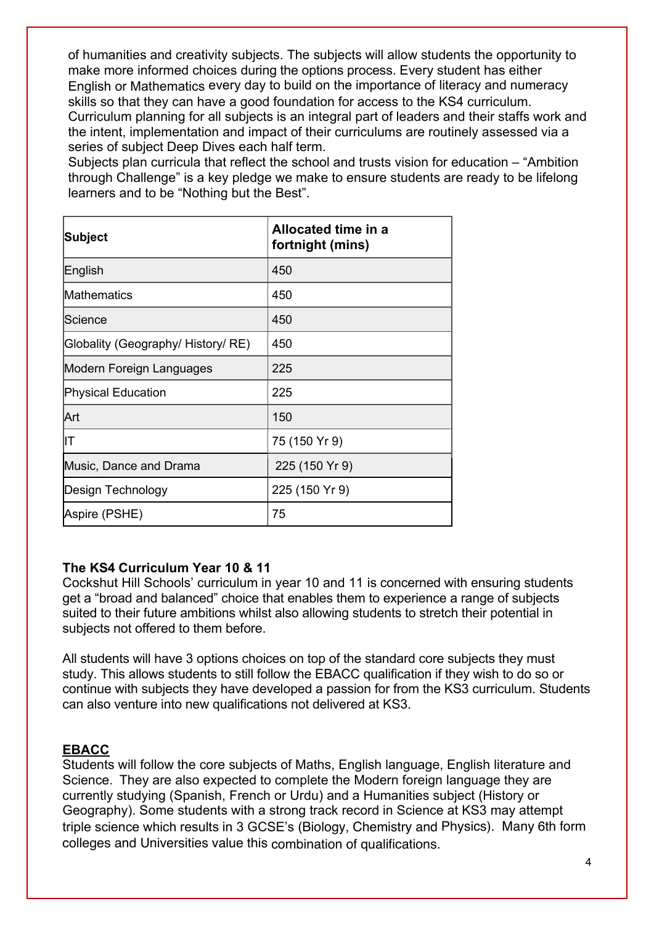of humanities and creativity subjects. The subjects will allow students the opportunity to make more informed choices during the options process. Every student has either English or Mathematics every day to build on the importance of literacy and numeracy skills so that they can have a good foundation for access to the KS4 curriculum. Curriculum planning for all subjects is an integral part of leaders and their staffs work and the intent, implementation and impact of their curriculums are routinely assessed via a series of subject Deep Dives each half term.

Subjects plan curricula that reflect the school and trusts vision for education – "Ambition through Challenge" is a key pledge we make to ensure students are ready to be lifelong learners and to be "Nothing but the Best".

| Subject                            | Allocated time in a<br>fortnight (mins) |
|------------------------------------|-----------------------------------------|
| English                            | 450                                     |
| Mathematics                        | 450                                     |
| lScience                           | 450                                     |
| Globality (Geography/ History/ RE) | 450                                     |
| Modern Foreign Languages           | 225                                     |
| <b>Physical Education</b>          | 225                                     |
| Art                                | 150                                     |
| lΙT                                | 75 (150 Yr 9)                           |
| Music, Dance and Drama             | 225 (150 Yr 9)                          |
| Design Technology                  | 225 (150 Yr 9)                          |
| Aspire (PSHE)                      | 75                                      |

### **The KS4 Curriculum Year 10 & 11**

Cockshut Hill Schools' curriculum in year 10 and 11 is concerned with ensuring students get a "broad and balanced" choice that enables them to experience a range of subjects suited to their future ambitions whilst also allowing students to stretch their potential in subjects not offered to them before.

All students will have 3 options choices on top of the standard core subjects they must study. This allows students to still follow the EBACC qualification if they wish to do so or continue with subjects they have developed a passion for from the KS3 curriculum. Students can also venture into new qualifications not delivered at KS3.

#### **EBACC**

Students will follow the core subjects of Maths, English language, English literature and Science. They are also expected to complete the Modern foreign language they are currently studying (Spanish, French or Urdu) and a Humanities subject (History or Geography). Some students with a strong track record in Science at KS3 may attempt triple science which results in 3 GCSE's (Biology, Chemistry and Physics). Many 6th form colleges and Universities value this combination of qualifications.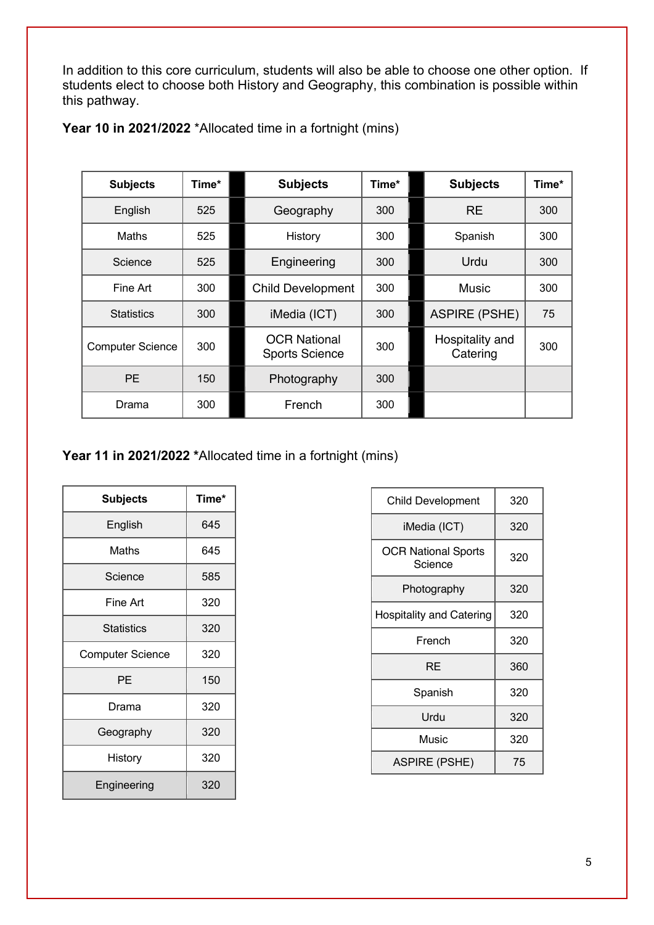In addition to this core curriculum, students will also be able to choose one other option. If students elect to choose both History and Geography, this combination is possible within this pathway.

| <b>Subjects</b>         | Time* | <b>Subjects</b>                              | Time* | <b>Subjects</b>             | Time* |
|-------------------------|-------|----------------------------------------------|-------|-----------------------------|-------|
| English                 | 525   | Geography                                    | 300   | <b>RE</b>                   | 300   |
| Maths                   | 525   | History                                      | 300   | Spanish                     | 300   |
| Science                 | 525   | Engineering                                  | 300   | Urdu                        | 300   |
| Fine Art                | 300   | <b>Child Development</b>                     | 300   | <b>Music</b>                | 300   |
| <b>Statistics</b>       | 300   | iMedia (ICT)                                 | 300   | <b>ASPIRE (PSHE)</b>        | 75    |
| <b>Computer Science</b> | 300   | <b>OCR National</b><br><b>Sports Science</b> | 300   | Hospitality and<br>Catering | 300   |
| <b>PE</b>               | 150   | Photography                                  | 300   |                             |       |
| Drama                   | 300   | French                                       | 300   |                             |       |

| Year 10 in 2021/2022 *Allocated time in a fortnight (mins) |  |  |
|------------------------------------------------------------|--|--|
|------------------------------------------------------------|--|--|

**Year 11 in 2021/2022 \***Allocated time in a fortnight (mins)

| <b>Subjects</b>         | Time* |
|-------------------------|-------|
| English                 | 645   |
| Maths                   | 645   |
| Science                 | 585   |
| Fine Art                | 320   |
| <b>Statistics</b>       | 320   |
| <b>Computer Science</b> | 320   |
| PE                      | 150   |
| Drama                   | 320   |
| Geography               | 320   |
| History                 | 320   |
| Engineering             | 320   |

| <b>Child Development</b>              | 320 |
|---------------------------------------|-----|
| iMedia (ICT)                          | 320 |
| <b>OCR National Sports</b><br>Science | 320 |
| Photography                           | 320 |
| <b>Hospitality and Catering</b>       | 320 |
| French                                | 320 |
| RE                                    | 360 |
| Spanish                               | 320 |
| Urdu                                  | 320 |
| Music                                 | 320 |
| <b>ASPIRE (PSHE)</b>                  | 75  |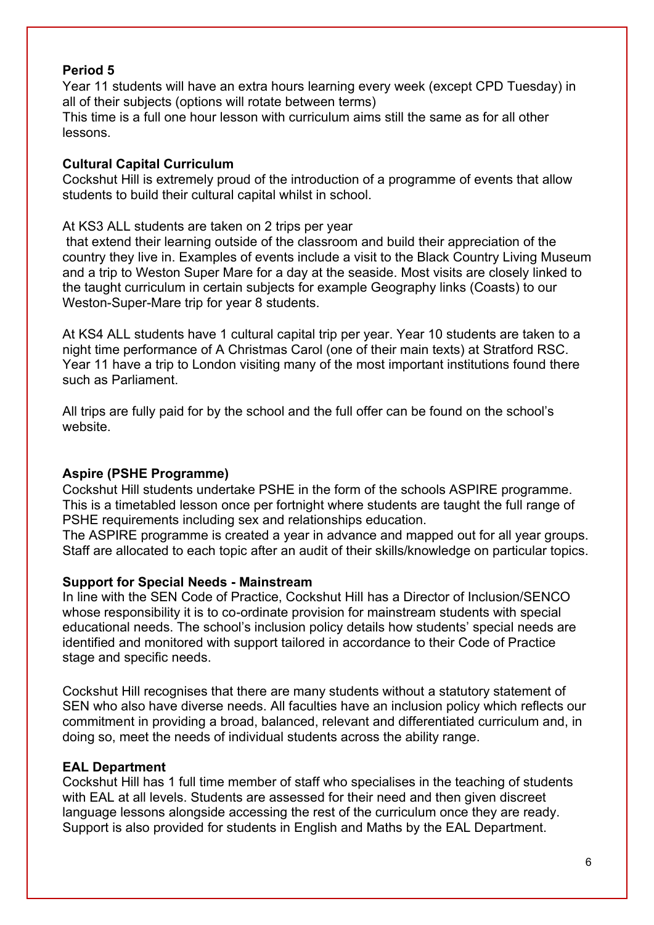#### **Period 5**

Year 11 students will have an extra hours learning every week (except CPD Tuesday) in all of their subjects (options will rotate between terms)

This time is a full one hour lesson with curriculum aims still the same as for all other lessons.

#### **Cultural Capital Curriculum**

Cockshut Hill is extremely proud of the introduction of a programme of events that allow students to build their cultural capital whilst in school.

At KS3 ALL students are taken on 2 trips per year

that extend their learning outside of the classroom and build their appreciation of the country they live in. Examples of events include a visit to the Black Country Living Museum and a trip to Weston Super Mare for a day at the seaside. Most visits are closely linked to the taught curriculum in certain subjects for example Geography links (Coasts) to our Weston-Super-Mare trip for year 8 students.

At KS4 ALL students have 1 cultural capital trip per year. Year 10 students are taken to a night time performance of A Christmas Carol (one of their main texts) at Stratford RSC. Year 11 have a trip to London visiting many of the most important institutions found there such as Parliament.

All trips are fully paid for by the school and the full offer can be found on the school's website.

### **Aspire (PSHE Programme)**

Cockshut Hill students undertake PSHE in the form of the schools ASPIRE programme. This is a timetabled lesson once per fortnight where students are taught the full range of PSHE requirements including sex and relationships education.

The ASPIRE programme is created a year in advance and mapped out for all year groups. Staff are allocated to each topic after an audit of their skills/knowledge on particular topics.

#### **Support for Special Needs - Mainstream**

In line with the SEN Code of Practice, Cockshut Hill has a Director of Inclusion/SENCO whose responsibility it is to co-ordinate provision for mainstream students with special educational needs. The school's inclusion policy details how students' special needs are identified and monitored with support tailored in accordance to their Code of Practice stage and specific needs.

Cockshut Hill recognises that there are many students without a statutory statement of SEN who also have diverse needs. All faculties have an inclusion policy which reflects our commitment in providing a broad, balanced, relevant and differentiated curriculum and, in doing so, meet the needs of individual students across the ability range.

#### **EAL Department**

Cockshut Hill has 1 full time member of staff who specialises in the teaching of students with EAL at all levels. Students are assessed for their need and then given discreet language lessons alongside accessing the rest of the curriculum once they are ready. Support is also provided for students in English and Maths by the EAL Department.